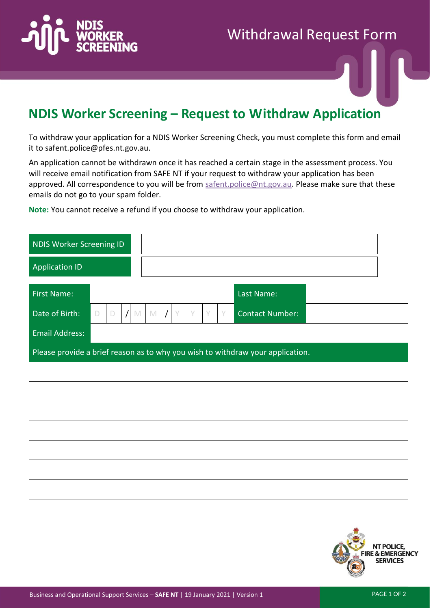

## Withdrawal Request Form

## **NDIS Worker Screening – Request to Withdraw Application**

To withdraw your application for a NDIS Worker Screening Check, you must complete this form and email it to safent.police@pfes.nt.gov.au.

An application cannot be withdrawn once it has reached a certain stage in the assessment process. You will receive email notification from SAFE NT if your request to withdraw your application has been approved. All correspondence to you will be from [safent.police@nt.gov.au.](mailto:safent.police@nt.gov.au) Please make sure that these emails do not go to your spam folder.

**Note:** You cannot receive a refund if you choose to withdraw your application.

| NDIS Worker Screening ID                                                       |   |  |  |   |             |          |  |        |  |   |                        |  |
|--------------------------------------------------------------------------------|---|--|--|---|-------------|----------|--|--------|--|---|------------------------|--|
| <b>Application ID</b>                                                          |   |  |  |   |             |          |  |        |  |   |                        |  |
| <b>First Name:</b>                                                             |   |  |  |   |             |          |  |        |  |   | Last Name:             |  |
| Date of Birth:                                                                 | D |  |  | M | $\mathbb N$ | $\prime$ |  | $\vee$ |  | Y | <b>Contact Number:</b> |  |
| <b>Email Address:</b>                                                          |   |  |  |   |             |          |  |        |  |   |                        |  |
| Please provide a brief reason as to why you wish to withdraw your application. |   |  |  |   |             |          |  |        |  |   |                        |  |